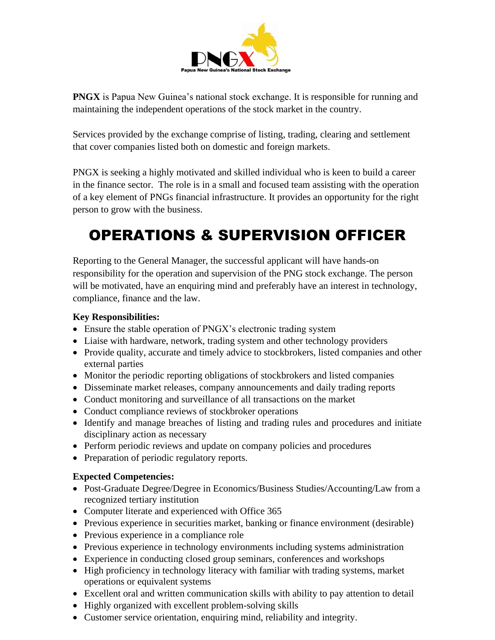

**PNGX** is Papua New Guinea's national stock exchange. It is responsible for running and maintaining the independent operations of the stock market in the country.

Services provided by the exchange comprise of listing, trading, clearing and settlement that cover companies listed both on domestic and foreign markets.

PNGX is seeking a highly motivated and skilled individual who is keen to build a career in the finance sector. The role is in a small and focused team assisting with the operation of a key element of PNGs financial infrastructure. It provides an opportunity for the right person to grow with the business.

# OPERATIONS & SUPERVISION OFFICER

Reporting to the General Manager, the successful applicant will have hands-on responsibility for the operation and supervision of the PNG stock exchange. The person will be motivated, have an enquiring mind and preferably have an interest in technology, compliance, finance and the law.

### **Key Responsibilities:**

- Ensure the stable operation of PNGX's electronic trading system
- Liaise with hardware, network, trading system and other technology providers
- Provide quality, accurate and timely advice to stockbrokers, listed companies and other external parties
- Monitor the periodic reporting obligations of stockbrokers and listed companies
- Disseminate market releases, company announcements and daily trading reports
- Conduct monitoring and surveillance of all transactions on the market
- Conduct compliance reviews of stockbroker operations
- Identify and manage breaches of listing and trading rules and procedures and initiate disciplinary action as necessary
- Perform periodic reviews and update on company policies and procedures
- Preparation of periodic regulatory reports.

## **Expected Competencies:**

- Post-Graduate Degree/Degree in Economics/Business Studies/Accounting/Law from a recognized tertiary institution
- Computer literate and experienced with Office 365
- Previous experience in securities market, banking or finance environment (desirable)
- Previous experience in a compliance role
- Previous experience in technology environments including systems administration
- Experience in conducting closed group seminars, conferences and workshops
- High proficiency in technology literacy with familiar with trading systems, market operations or equivalent systems
- Excellent oral and written communication skills with ability to pay attention to detail
- Highly organized with excellent problem-solving skills
- Customer service orientation, enquiring mind, reliability and integrity.